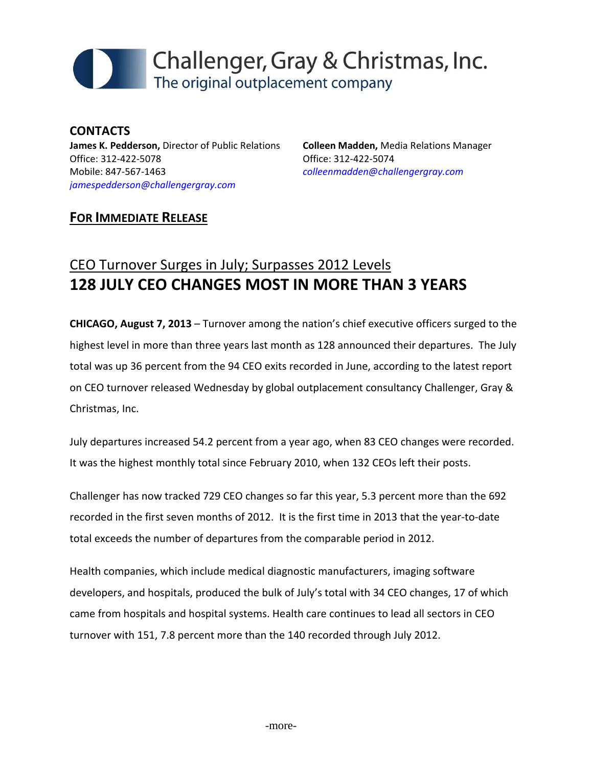

**CONTACTS James K. Pedderson,** Director of Public Relations Office: 312‐422‐5078 Mobile: 847‐567‐1463 *jamespedderson@challengergray.com*

**Colleen Madden,** Media Relations Manager Office: 312‐422‐5074 *colleenmadden@challengergray.com*

### **FOR IMMEDIATE RELEASE**

# CEO Turnover Surges in July; Surpasses 2012 Levels **128 JULY CEO CHANGES MOST IN MORE THAN 3 YEARS**

**CHICAGO, August 7, 2013** – Turnover among the nation's chief executive officers surged to the highest level in more than three years last month as 128 announced their departures. The July total was up 36 percent from the 94 CEO exits recorded in June, according to the latest report on CEO turnover released Wednesday by global outplacement consultancy Challenger, Gray & Christmas, Inc.

July departures increased 54.2 percent from a year ago, when 83 CEO changes were recorded. It was the highest monthly total since February 2010, when 132 CEOs left their posts.

Challenger has now tracked 729 CEO changes so far this year, 5.3 percent more than the 692 recorded in the first seven months of 2012. It is the first time in 2013 that the year-to-date total exceeds the number of departures from the comparable period in 2012.

Health companies, which include medical diagnostic manufacturers, imaging software developers, and hospitals, produced the bulk of July's total with 34 CEO changes, 17 of which came from hospitals and hospital systems. Health care continues to lead all sectors in CEO turnover with 151, 7.8 percent more than the 140 recorded through July 2012.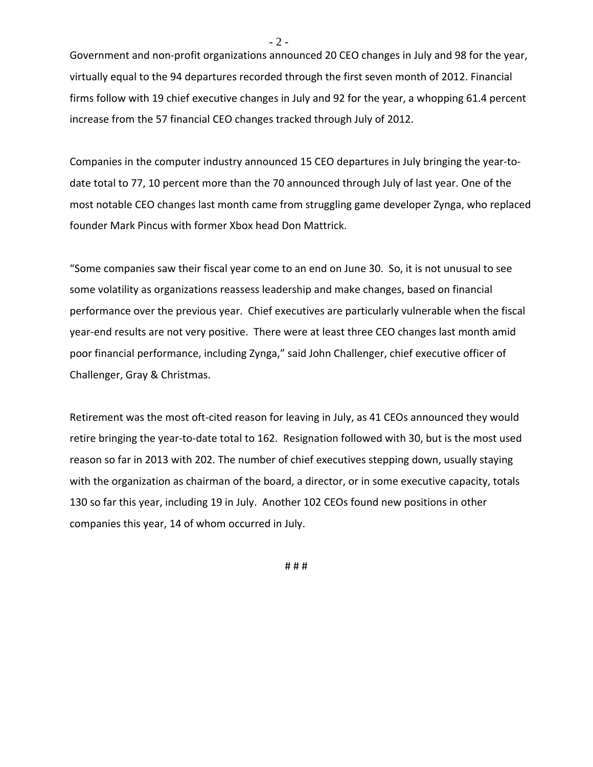Government and non‐profit organizations announced 20 CEO changes in July and 98 for the year, virtually equal to the 94 departures recorded through the first seven month of 2012. Financial firms follow with 19 chief executive changes in July and 92 for the year, a whopping 61.4 percent increase from the 57 financial CEO changes tracked through July of 2012.

Companies in the computer industry announced 15 CEO departures in July bringing the year‐to‐ date total to 77, 10 percent more than the 70 announced through July of last year. One of the most notable CEO changes last month came from struggling game developer Zynga, who replaced founder Mark Pincus with former Xbox head Don Mattrick.

"Some companies saw their fiscal year come to an end on June 30. So, it is not unusual to see some volatility as organizations reassess leadership and make changes, based on financial performance over the previous year. Chief executives are particularly vulnerable when the fiscal year-end results are not very positive. There were at least three CEO changes last month amid poor financial performance, including Zynga," said John Challenger, chief executive officer of Challenger, Gray & Christmas.

Retirement was the most oft-cited reason for leaving in July, as 41 CEOs announced they would retire bringing the year-to-date total to 162. Resignation followed with 30, but is the most used reason so far in 2013 with 202. The number of chief executives stepping down, usually staying with the organization as chairman of the board, a director, or in some executive capacity, totals 130 so far this year, including 19 in July. Another 102 CEOs found new positions in other companies this year, 14 of whom occurred in July.

# # #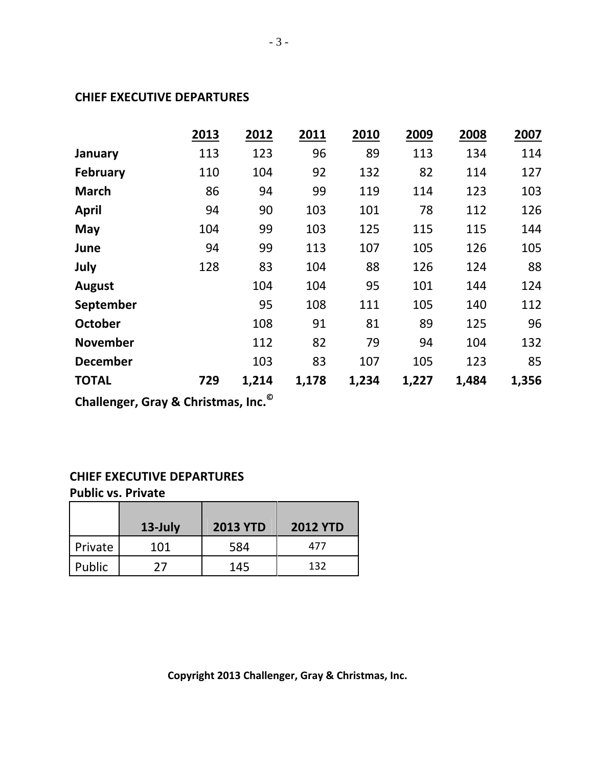#### **CHIEF EXECUTIVE DEPARTURES**

|                 | 2013 | 2012  | 2011  | 2010  | 2009  | 2008  | 2007  |
|-----------------|------|-------|-------|-------|-------|-------|-------|
| January         | 113  | 123   | 96    | 89    | 113   | 134   | 114   |
| <b>February</b> | 110  | 104   | 92    | 132   | 82    | 114   | 127   |
| <b>March</b>    | 86   | 94    | 99    | 119   | 114   | 123   | 103   |
| <b>April</b>    | 94   | 90    | 103   | 101   | 78    | 112   | 126   |
| May             | 104  | 99    | 103   | 125   | 115   | 115   | 144   |
| June            | 94   | 99    | 113   | 107   | 105   | 126   | 105   |
| July            | 128  | 83    | 104   | 88    | 126   | 124   | 88    |
| <b>August</b>   |      | 104   | 104   | 95    | 101   | 144   | 124   |
| September       |      | 95    | 108   | 111   | 105   | 140   | 112   |
| <b>October</b>  |      | 108   | 91    | 81    | 89    | 125   | 96    |
| <b>November</b> |      | 112   | 82    | 79    | 94    | 104   | 132   |
| <b>December</b> |      | 103   | 83    | 107   | 105   | 123   | 85    |
| <b>TOTAL</b>    | 729  | 1,214 | 1,178 | 1,234 | 1,227 | 1,484 | 1,356 |
|                 |      |       |       |       |       |       |       |

**Challenger, Gray & Christmas, Inc.©** 

#### **CHIEF EXECUTIVE DEPARTURES**

**Public vs. Private**

|         | $13$ -July | <b>2013 YTD</b> | <b>2012 YTD</b> |
|---------|------------|-----------------|-----------------|
| Private | 101        | 584             | 477             |
| Public  | 77         | 145             | 132             |

**Copyright 2013 Challenger, Gray & Christmas, Inc.**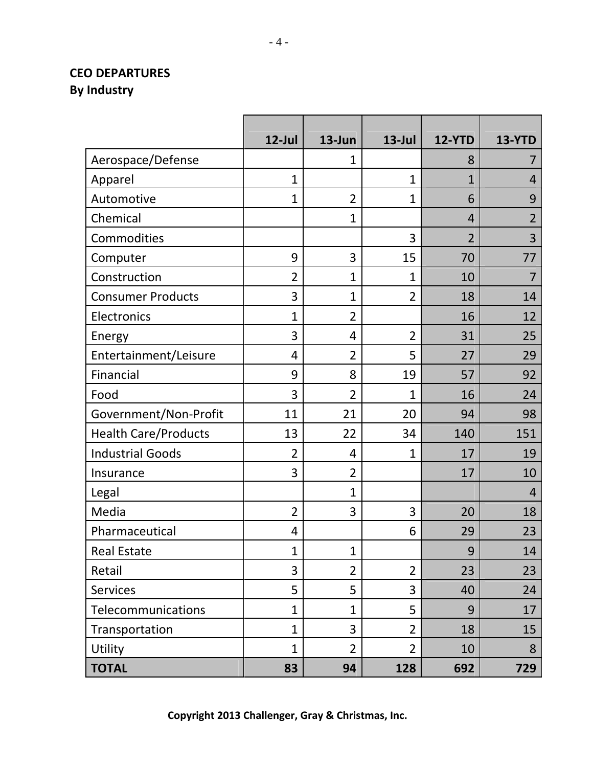# **CEO DEPARTURES By Industry**

|                             | $12$ -Jul      | 13-Jun         | $13$ -Jul      | <b>12-YTD</b>  | <b>13-YTD</b>  |
|-----------------------------|----------------|----------------|----------------|----------------|----------------|
| Aerospace/Defense           |                | 1              |                | 8              | 7              |
| Apparel                     | $\mathbf{1}$   |                | 1              | 1              | 4              |
| Automotive                  | $\mathbf{1}$   | $\overline{2}$ | 1              | 6              | 9              |
| Chemical                    |                | $\mathbf{1}$   |                | $\overline{4}$ | $\overline{2}$ |
| Commodities                 |                |                | 3              | $\overline{2}$ | 3              |
| Computer                    | 9              | 3              | 15             | 70             | 77             |
| Construction                | $\overline{2}$ | $\mathbf{1}$   | 1              | 10             | $\overline{7}$ |
| <b>Consumer Products</b>    | 3              | $\mathbf{1}$   | $\overline{2}$ | 18             | 14             |
| Electronics                 | $\mathbf{1}$   | $\overline{2}$ |                | 16             | 12             |
| Energy                      | 3              | 4              | $\overline{2}$ | 31             | 25             |
| Entertainment/Leisure       | 4              | $\overline{2}$ | 5              | 27             | 29             |
| Financial                   | 9              | 8              | 19             | 57             | 92             |
| Food                        | 3              | $\overline{2}$ | $\overline{1}$ | 16             | 24             |
| Government/Non-Profit       | 11             | 21             | 20             | 94             | 98             |
| <b>Health Care/Products</b> | 13             | 22             | 34             | 140            | 151            |
| <b>Industrial Goods</b>     | $\overline{2}$ | 4              | $\overline{1}$ | 17             | 19             |
| Insurance                   | 3              | $\overline{2}$ |                | 17             | 10             |
| Legal                       |                | $\overline{1}$ |                |                | $\overline{4}$ |
| Media                       | $\overline{2}$ | 3              | 3              | 20             | 18             |
| Pharmaceutical              | 4              |                | 6              | 29             | 23             |
| <b>Real Estate</b>          | $\mathbf{1}$   | $\mathbf{1}$   |                | 9              | 14             |
| Retail                      | 3              | $\overline{2}$ | $\overline{2}$ | 23             | 23             |
| <b>Services</b>             | 5              | 5              | 3              | 40             | 24             |
| Telecommunications          | $\overline{1}$ | $\mathbf{1}$   | 5              | 9              | 17             |
| Transportation              | $\mathbf{1}$   | 3              | $\overline{2}$ | 18             | 15             |
| Utility                     | $\mathbf{1}$   | $\overline{2}$ | $\overline{2}$ | 10             | 8              |
| <b>TOTAL</b>                | 83             | 94             | 128            | 692            | 729            |